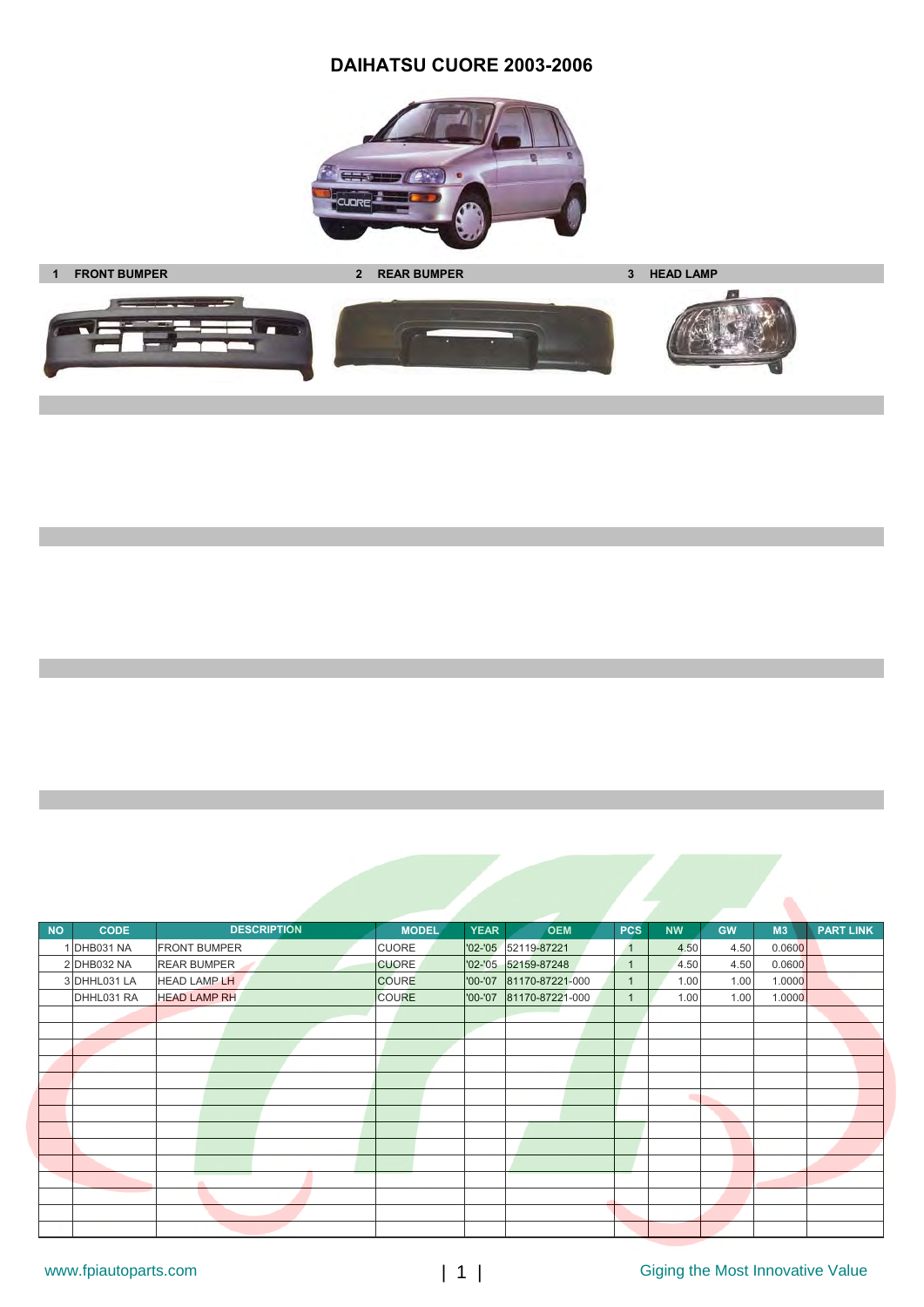## **DAIHATSU CUORE 2003-2006**











| <b>NO</b> | <b>CODE</b>  | <b>DESCRIPTION</b>  | <b>MODEL</b> | <b>YEAR</b> | <b>OEM</b>              | <b>PCS</b>   | <b>NW</b> | <b>GW</b> | M3     | <b>PART LINK</b> |
|-----------|--------------|---------------------|--------------|-------------|-------------------------|--------------|-----------|-----------|--------|------------------|
|           | 1 DHB031 NA  | <b>FRONT BUMPER</b> | <b>CUORE</b> |             | '02-'05 52119-87221     | $\mathbf{1}$ | 4.50      | 4.50      | 0.0600 |                  |
|           | 2 DHB032 NA  | <b>REAR BUMPER</b>  | <b>CUORE</b> |             | '02-'05 52159-87248     | $\mathbf{1}$ | 4.50      | 4.50      | 0.0600 |                  |
|           | 3 DHHL031 LA | <b>HEAD LAMP LH</b> | <b>COURE</b> |             | '00-'07 81170-87221-000 | 1            | 1.00      | 1.00      | 1.0000 |                  |
|           | DHHL031 RA   | <b>HEAD LAMP RH</b> | <b>COURE</b> | '00-'07     | 81170-87221-000         |              | 1.00      | 1.00      | 1.0000 |                  |
|           |              |                     |              |             |                         |              |           |           |        |                  |
|           |              |                     |              |             |                         |              |           |           |        |                  |
|           |              |                     |              |             |                         |              |           |           |        |                  |
|           |              |                     |              |             |                         |              |           |           |        |                  |
|           |              |                     |              |             |                         |              |           |           |        |                  |
|           |              |                     |              |             |                         |              |           |           |        |                  |
|           |              |                     |              |             |                         |              |           |           |        |                  |
|           |              |                     |              |             |                         |              |           |           |        |                  |
|           |              |                     |              |             |                         |              |           |           |        |                  |
|           |              |                     |              |             |                         |              |           |           |        |                  |
|           |              | a.                  |              |             |                         |              |           |           |        |                  |
|           |              |                     |              |             |                         |              |           |           |        |                  |
|           |              |                     |              |             |                         |              |           |           |        |                  |
|           |              |                     |              |             |                         |              |           |           |        |                  |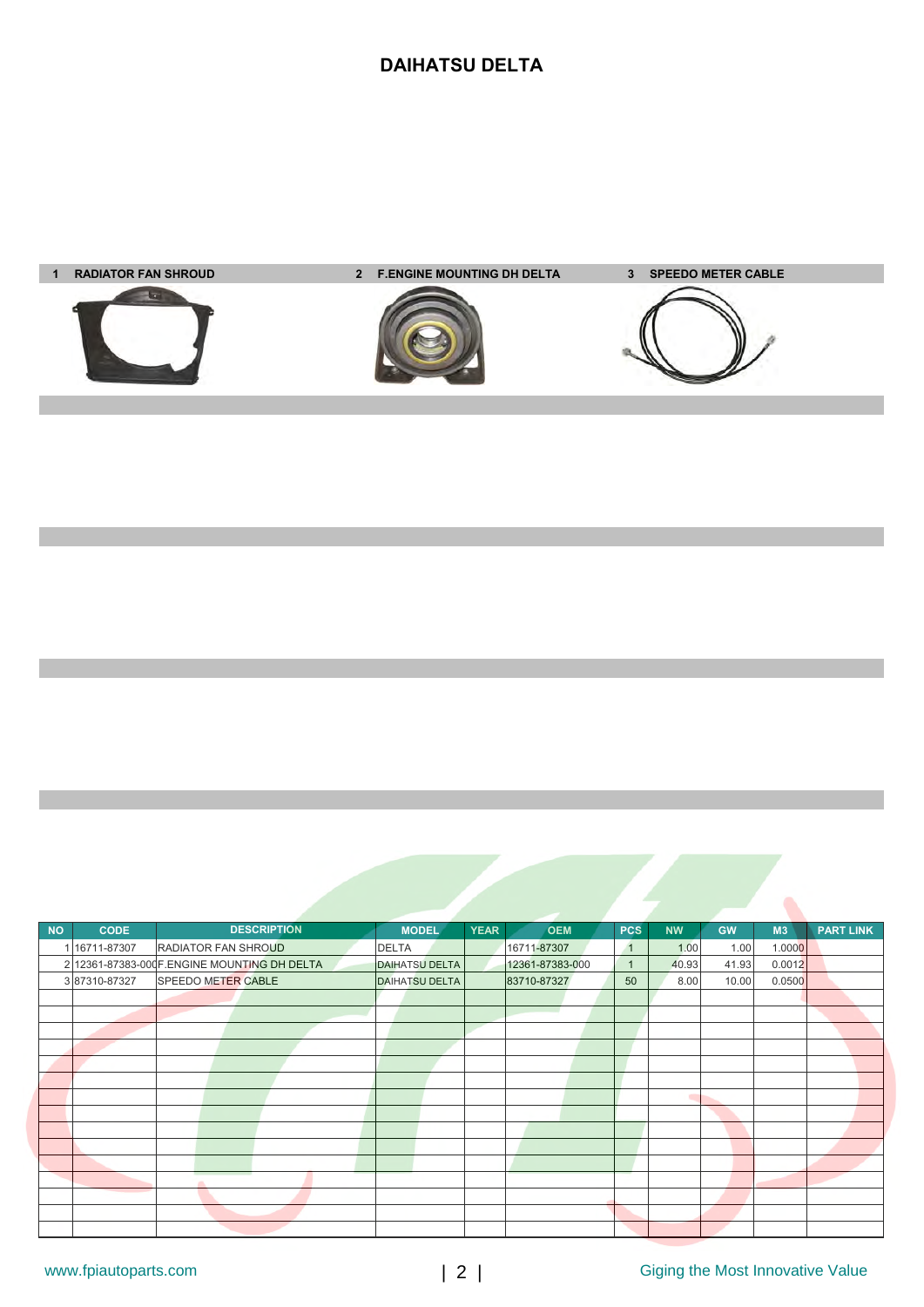# **DAIHATSU DELTA**



| <b>NO</b> | <b>CODE</b>   |                                              | <b>DESCRIPTION</b> | <b>MODEL</b>          | <b>YEAR</b> | <b>OEM</b>      | <b>PCS</b>   | <b>NW</b> | <b>GW</b> | M3     | <b>PART LINK</b> |
|-----------|---------------|----------------------------------------------|--------------------|-----------------------|-------------|-----------------|--------------|-----------|-----------|--------|------------------|
|           | 1 16711-87307 | <b>RADIATOR FAN SHROUD</b>                   |                    | <b>DELTA</b>          |             | 16711-87307     | $\mathbf{1}$ | 1.00      | 1.00      | 1.0000 |                  |
|           |               | 2 12361-87383-000 F.ENGINE MOUNTING DH DELTA |                    | <b>DAIHATSU DELTA</b> |             | 12361-87383-000 | $\mathbf{1}$ | 40.93     | 41.93     | 0.0012 |                  |
|           | 387310-87327  | <b>SPEEDO METER CABLE</b>                    |                    | <b>DAIHATSU DELTA</b> |             | 83710-87327     | 50           | 8.00      | 10.00     | 0.0500 |                  |
|           |               |                                              |                    |                       |             |                 |              |           |           |        |                  |
|           |               |                                              |                    |                       |             |                 |              |           |           |        |                  |
|           |               |                                              |                    |                       |             |                 |              |           |           |        |                  |
|           |               |                                              |                    |                       |             |                 |              |           |           |        |                  |
|           |               |                                              |                    |                       |             |                 |              |           |           |        |                  |
|           |               |                                              |                    |                       |             |                 |              |           |           |        |                  |
|           |               |                                              |                    |                       |             |                 |              | m         |           |        |                  |
|           |               |                                              |                    |                       |             |                 |              |           |           |        |                  |
|           |               |                                              |                    |                       |             |                 |              |           |           |        |                  |
|           |               |                                              |                    |                       |             |                 |              |           |           |        |                  |
|           |               |                                              |                    |                       |             |                 |              |           |           |        |                  |
|           |               |                                              |                    |                       |             |                 |              |           |           |        |                  |
|           |               |                                              |                    |                       |             |                 |              |           |           |        |                  |
|           |               |                                              |                    |                       |             |                 |              |           |           |        |                  |
|           |               |                                              |                    |                       |             |                 |              |           |           |        |                  |

Ä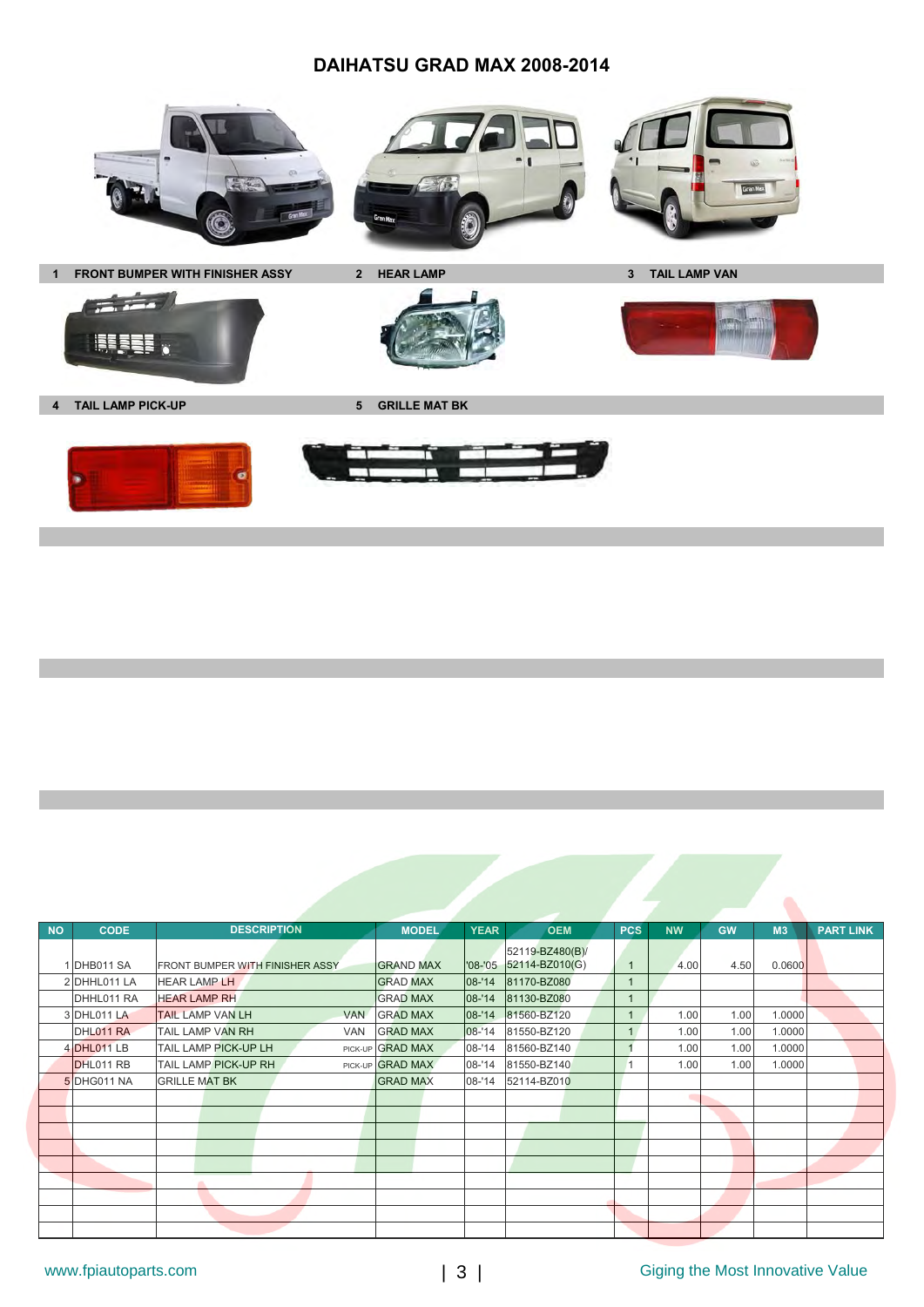#### **DAIHATSU GRAD MAX 2008-2014**







1 FRONT BUMPER WITH FINISHER ASSY 2 HEAR LAMP **3 TAIL LAMP VAN** 



**4 TAIL LAMP PICK-UP 6 6 GRILLE MAT BK** 

 $\frac{1}{2}$ 

**EEEEE** 



| <b>NO</b> | <b>CODE</b>  | <b>DESCRIPTION</b>                     | <b>MODEL</b>     | <b>YEAR</b> | <b>OEM</b>                        | <b>PCS</b>     | <b>NW</b> | <b>GW</b> | M3     | <b>PART LINK</b> |
|-----------|--------------|----------------------------------------|------------------|-------------|-----------------------------------|----------------|-----------|-----------|--------|------------------|
|           | 1DHB011 SA   | <b>FRONT BUMPER WITH FINISHER ASSY</b> | <b>GRAND MAX</b> | $'08 - '05$ | 52119-BZ480(B)/<br>52114-BZ010(G) | $\overline{1}$ | 4.00      | 4.50      | 0.0600 |                  |
|           | 2 DHHL011 LA | <b>HEAR LAMP LH</b>                    | <b>GRAD MAX</b>  | 08-'14      | 81170-BZ080                       | $\mathbf{1}$   |           |           |        |                  |
|           | DHHL011 RA   | <b>HEAR LAMP RH</b>                    | <b>GRAD MAX</b>  | 08-'14      | 81130-BZ080                       |                |           |           |        |                  |
|           | 3 DHL011 LA  | <b>TAIL LAMP VAN LH</b><br><b>VAN</b>  | <b>GRAD MAX</b>  | 08-'14      | 81560-BZ120                       |                | 1.00      | 1.00      | 1.0000 |                  |
|           | DHL011 RA    | <b>TAIL LAMP VAN RH</b><br><b>VAN</b>  | <b>GRAD MAX</b>  | 08-'14      | 81550-BZ120                       | 1              | 1.00      | 1.00      | 1.0000 |                  |
|           | 4 DHL011 LB  | TAIL LAMP PICK-UP LH                   | PICK-UP GRAD MAX | 08-'14      | 81560-BZ140                       |                | 1.00      | 1.00      | 1.0000 |                  |
|           | DHL011 RB    | TAIL LAMP PICK-UP RH                   | PICK-UP GRAD MAX | 08-'14      | 81550-BZ140                       |                | 1.00      | 1.00      | 1.0000 |                  |
|           | 5 DHG011 NA  | <b>GRILLE MAT BK</b>                   | <b>GRAD MAX</b>  | $08 - 14$   | 52114-BZ010                       |                |           |           |        |                  |
|           |              |                                        |                  |             |                                   |                |           |           |        |                  |
|           |              |                                        |                  |             |                                   |                |           |           |        |                  |
|           |              |                                        |                  |             |                                   |                |           |           |        |                  |
|           |              |                                        |                  |             |                                   |                |           |           |        |                  |
|           |              |                                        |                  |             |                                   |                |           |           |        |                  |
|           |              |                                        |                  |             |                                   |                |           |           |        |                  |
|           |              |                                        |                  |             |                                   |                |           |           |        |                  |
|           |              |                                        |                  |             |                                   |                |           |           |        |                  |
|           |              |                                        |                  |             |                                   |                |           |           |        |                  |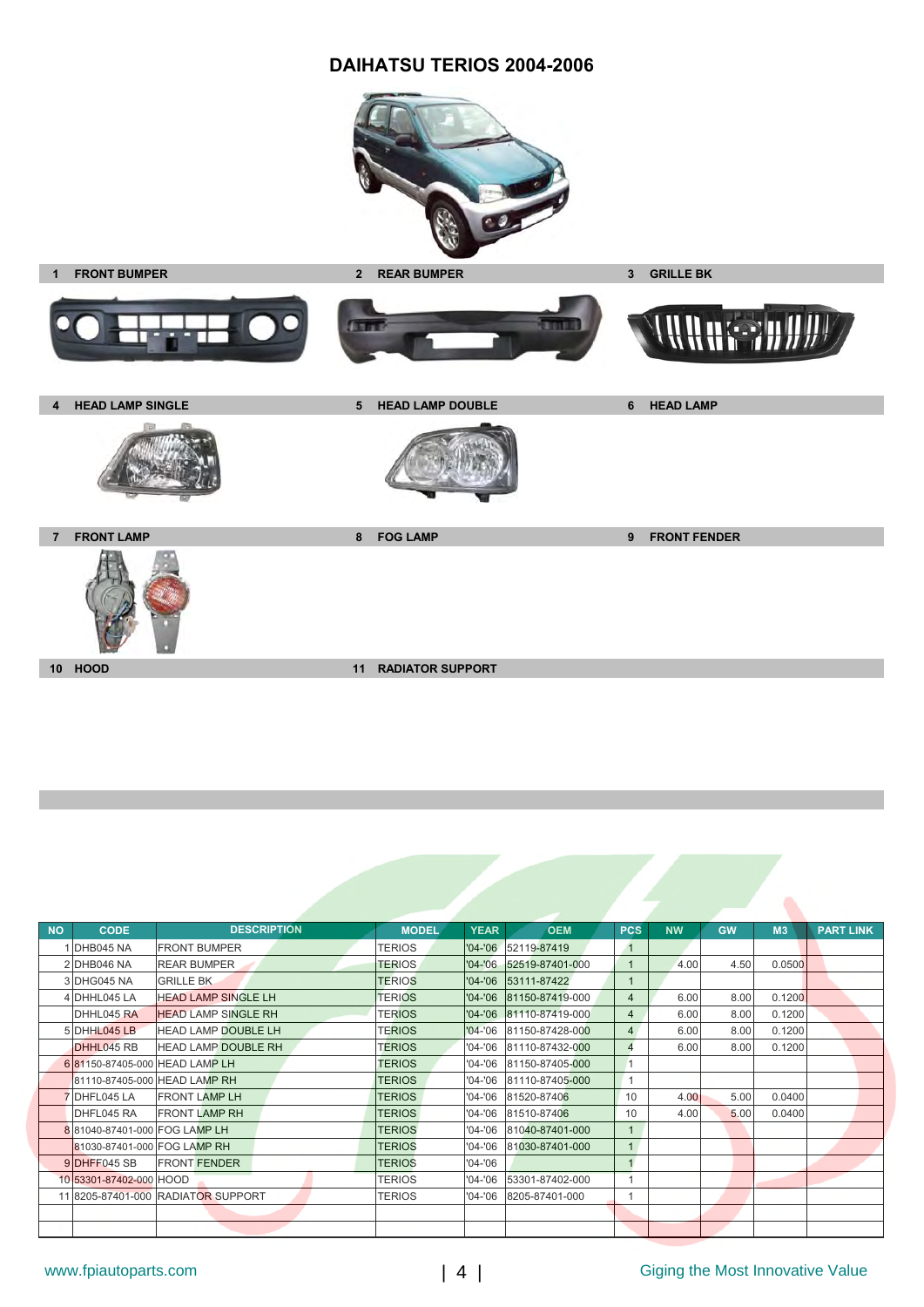#### **DAIHATSU TERIOS 2004-2006**





| <b>NO</b> | <b>CODE</b>                  | <b>DESCRIPTION</b>                 | <b>MODEL</b><br><b>YEAR</b>  | <b>OEM</b>      | <b>PCS</b>     | <b>NW</b> | <b>GW</b> | M3     | <b>PART LINK</b> |
|-----------|------------------------------|------------------------------------|------------------------------|-----------------|----------------|-----------|-----------|--------|------------------|
|           | <b>DHB045 NA</b>             | <b>FRONT BUMPER</b>                | <b>TERIOS</b><br>$'04 - '06$ | 52119-87419     | $\overline{1}$ |           |           |        |                  |
|           | 2 DHB046 NA                  | <b>REAR BUMPER</b>                 | <b>TERIOS</b><br>$'04 - '06$ | 52519-87401-000 | $\mathbf{1}$   | 4.00      | 4.50      | 0.0500 |                  |
|           | 3 DHG045 NA                  | <b>GRILLE BK</b>                   | <b>TERIOS</b><br>$'04 - '06$ | 53111-87422     |                |           |           |        |                  |
|           | 4 DHHL045 LA                 | <b>HEAD LAMP SINGLE LH</b>         | <b>TERIOS</b><br>$'04 - '06$ | 81150-87419-000 | 4              | 6.00      | 8.00      | 0.1200 |                  |
|           | DHHL045 RA                   | <b>HEAD LAMP SINGLE RH</b>         | <b>TERIOS</b><br>$'04 - '06$ | 81110-87419-000 | $\overline{4}$ | 6.00      | 8.00      | 0.1200 |                  |
|           | 5 DHHL045 LB                 | <b>HEAD LAMP DOUBLE LH</b>         | <b>TERIOS</b><br>$'04 - '06$ | 81150-87428-000 | $\overline{4}$ | 6.00      | 8.00      | 0.1200 |                  |
|           | DHHL045 RB                   | <b>HEAD LAMP DOUBLE RH</b>         | <b>TERIOS</b><br>$'04 - '06$ | 81110-87432-000 | $\overline{4}$ | 6.00      | 8.00      | 0.1200 |                  |
|           |                              | 6 81150-87405-000 HEAD LAMP LH     | <b>TERIOS</b><br>$'04 - '06$ | 81150-87405-000 |                |           |           |        |                  |
|           |                              | 81110-87405-000 HEAD LAMP RH       | <b>TERIOS</b><br>$'04 - '06$ | 81110-87405-000 |                |           |           |        |                  |
|           | 7 DHFL045 LA                 | <b>FRONT LAMP LH</b>               | <b>TERIOS</b><br>$'04 - '06$ | 81520-87406     | 10             | 4.00      | 5.00      | 0.0400 |                  |
|           | DHFL045 RA                   | <b>FRONT LAMP RH</b>               | '04-'06<br><b>TERIOS</b>     | 81510-87406     | 10             | 4.00      | 5.00      | 0.0400 |                  |
|           | 881040-87401-000 FOG LAMP LH |                                    | <b>TERIOS</b><br>'04-'06     | 81040-87401-000 |                |           |           |        |                  |
|           | 81030-87401-000 FOG LAMP RH  |                                    | <b>TERIOS</b><br>$'04 - '06$ | 81030-87401-000 |                |           |           |        |                  |
|           | 9DHFF045 SB                  | <b>FRONT FENDER</b>                | <b>TERIOS</b><br>$'04 - '06$ |                 |                |           |           |        |                  |
|           | 10 53301-87402-000 HOOD      |                                    | <b>TERIOS</b><br>$'04 - '06$ | 53301-87402-000 |                |           |           |        |                  |
|           |                              | 11 8205-87401-000 RADIATOR SUPPORT | TERIOS<br>$'04 - '06$        | 8205-87401-000  |                |           |           |        |                  |
|           |                              |                                    |                              |                 |                |           |           |        |                  |
|           |                              |                                    |                              |                 |                |           |           |        |                  |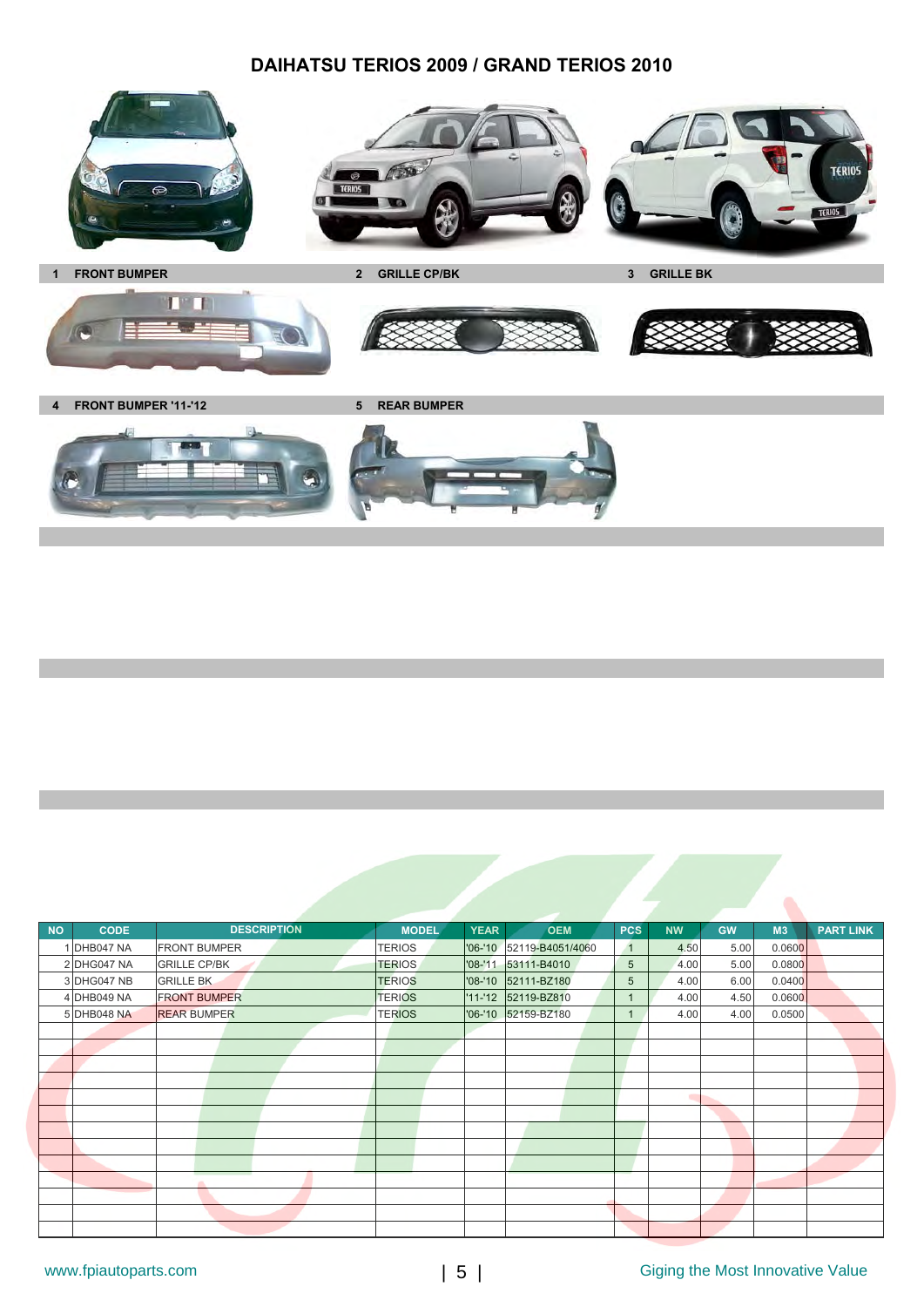### **DAIHATSU TERIOS 2009 / GRAND TERIOS 2010**









**4 FRONT BUMPER '11-'12 5 REAR BUMPER**



| <b>NO</b> | <b>CODE</b> | <b>DESCRIPTION</b>  | <b>MODEL</b>  | <b>YEAR</b> | <b>OEM</b>               | <b>PCS</b>   | <b>NW</b> | <b>GW</b> | M <sub>3</sub> | <b>PART LINK</b> |
|-----------|-------------|---------------------|---------------|-------------|--------------------------|--------------|-----------|-----------|----------------|------------------|
|           | 1 DHB047 NA | <b>FRONT BUMPER</b> | <b>TERIOS</b> |             | '06-'10 52119-B4051/4060 | $\mathbf{1}$ | 4.50      | 5.00      | 0.0600         |                  |
|           | 2 DHG047 NA | <b>GRILLE CP/BK</b> | <b>TERIOS</b> | $'08 - '11$ | 53111-B4010              | 5            | 4.00      | 5.00      | 0.0800         |                  |
|           | 3 DHG047 NB | <b>GRILLE BK</b>    | <b>TERIOS</b> | $'08 - 10$  | 52111-BZ180              | 5            | 4.00      | 6.00      | 0.0400         |                  |
|           | 4 DHB049 NA | <b>FRONT BUMPER</b> | <b>TERIOS</b> |             | '11-'12 52119-BZ810      | 1            | 4.00      | 4.50      | 0.0600         |                  |
|           | 5 DHB048 NA | <b>REAR BUMPER</b>  | <b>TERIOS</b> |             | '06-'10 52159-BZ180      | 1            | 4.00      | 4.00      | 0.0500         |                  |
|           |             |                     |               |             |                          |              |           |           |                |                  |
|           |             |                     |               |             |                          |              |           |           |                |                  |
|           |             |                     |               |             |                          |              |           |           |                |                  |
|           |             |                     |               |             |                          |              |           |           |                |                  |
|           |             |                     |               |             |                          |              | ۰         |           |                |                  |
|           |             |                     |               |             |                          |              |           |           |                |                  |
|           |             |                     |               |             |                          |              |           |           |                |                  |
|           |             |                     |               |             |                          |              |           |           |                |                  |
|           |             |                     |               |             |                          |              |           |           |                |                  |
|           |             |                     |               |             |                          |              |           |           |                |                  |
|           |             |                     |               |             |                          |              |           |           |                |                  |
|           |             |                     |               |             |                          |              |           |           |                |                  |
|           |             |                     |               |             |                          |              |           |           |                |                  |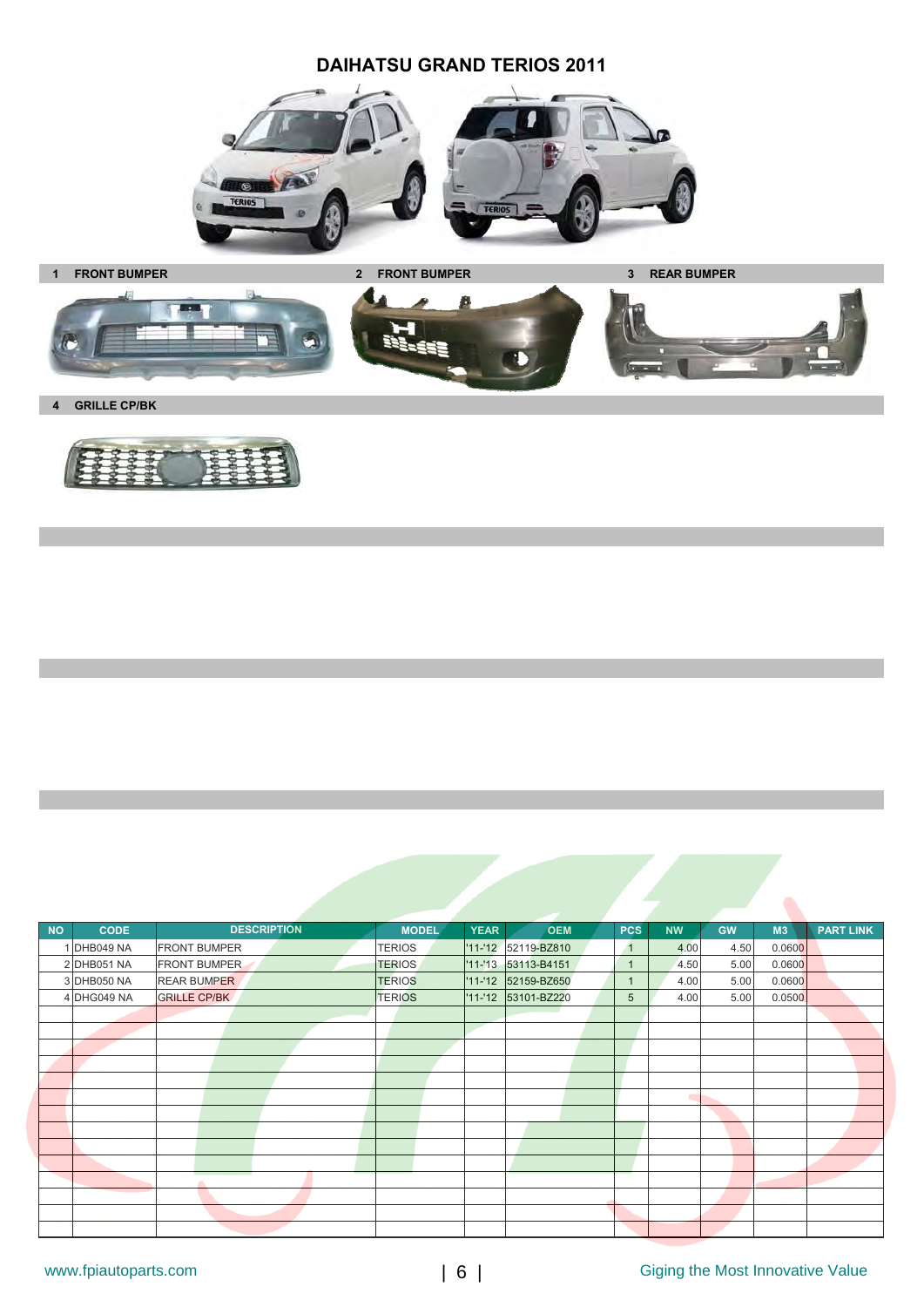### **DAIHATSU GRAND TERIOS 2011**





**4 GRILLE CP/BK**



| <b>NO</b> | <b>CODE</b> | <b>DESCRIPTION</b>  | <b>MODEL</b>  | <b>YEAR</b> | <b>OEM</b>          | <b>PCS</b>     | <b>NW</b> | <b>GW</b> | M3     | <b>PART LINK</b> |
|-----------|-------------|---------------------|---------------|-------------|---------------------|----------------|-----------|-----------|--------|------------------|
|           | 1 DHB049 NA | <b>FRONT BUMPER</b> | <b>TERIOS</b> |             | '11-'12 52119-BZ810 | $\overline{1}$ | 4.00      | 4.50      | 0.0600 |                  |
|           | 2 DHB051 NA | <b>FRONT BUMPER</b> | <b>TERIOS</b> |             | '11-'13 53113-B4151 | $\mathbf{1}$   | 4.50      | 5.00      | 0.0600 |                  |
|           | 3 DHB050 NA | <b>REAR BUMPER</b>  | <b>TERIOS</b> |             | '11-'12 52159-BZ650 | $\mathbf{1}$   | 4.00      | 5.00      | 0.0600 |                  |
|           | 4 DHG049 NA | <b>GRILLE CP/BK</b> | <b>TERIOS</b> |             | '11-'12 53101-BZ220 | 5              | 4.00      | 5.00      | 0.0500 |                  |
|           |             |                     |               |             |                     |                |           |           |        |                  |
|           |             |                     |               |             |                     |                |           |           |        |                  |
|           |             |                     |               |             |                     |                |           |           |        |                  |
|           |             |                     |               |             |                     |                |           |           |        |                  |
|           |             |                     |               |             |                     |                |           |           |        |                  |
|           |             |                     |               |             |                     |                | ۰         |           |        |                  |
|           |             |                     |               |             |                     |                |           |           |        |                  |
|           |             |                     |               |             |                     |                |           |           |        |                  |
|           |             |                     |               |             |                     |                |           |           |        |                  |
|           |             |                     |               |             |                     |                |           |           |        |                  |
|           |             | a.                  |               |             |                     |                |           |           |        |                  |
|           |             |                     |               |             |                     |                |           |           |        |                  |
|           |             |                     |               |             |                     |                |           |           |        |                  |
|           |             |                     |               |             |                     |                |           |           |        |                  |